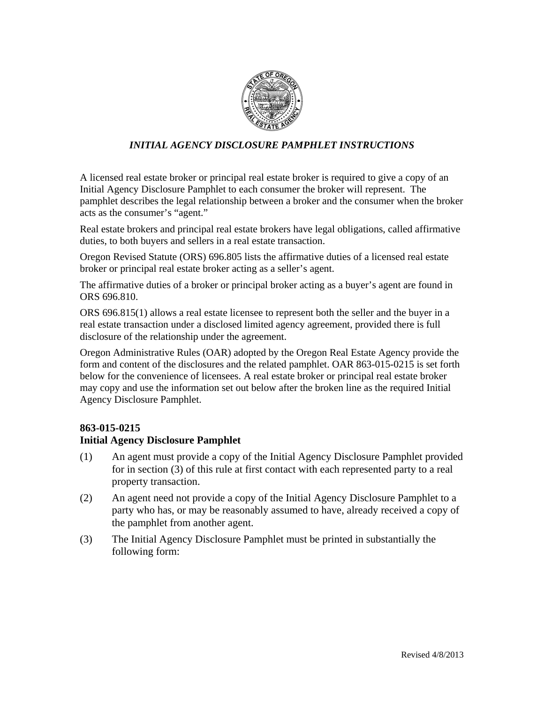

### *INITIAL AGENCY DISCLOSURE PAMPHLET INSTRUCTIONS*

A licensed real estate broker or principal real estate broker is required to give a copy of an Initial Agency Disclosure Pamphlet to each consumer the broker will represent. The pamphlet describes the legal relationship between a broker and the consumer when the broker acts as the consumer's "agent."

Real estate brokers and principal real estate brokers have legal obligations, called affirmative duties, to both buyers and sellers in a real estate transaction.

Oregon Revised Statute (ORS) 696.805 lists the affirmative duties of a licensed real estate broker or principal real estate broker acting as a seller's agent.

The affirmative duties of a broker or principal broker acting as a buyer's agent are found in ORS 696.810.

ORS 696.815(1) allows a real estate licensee to represent both the seller and the buyer in a real estate transaction under a disclosed limited agency agreement, provided there is full disclosure of the relationship under the agreement.

Oregon Administrative Rules (OAR) adopted by the Oregon Real Estate Agency provide the form and content of the disclosures and the related pamphlet. OAR 863-015-0215 is set forth below for the convenience of licensees. A real estate broker or principal real estate broker may copy and use the information set out below after the broken line as the required Initial Agency Disclosure Pamphlet.

### **863-015-0215**

### **Initial Agency Disclosure Pamphlet**

- (1) An agent must provide a copy of the Initial Agency Disclosure Pamphlet provided for in section (3) of this rule at first contact with each represented party to a real property transaction.
- (2) An agent need not provide a copy of the Initial Agency Disclosure Pamphlet to a party who has, or may be reasonably assumed to have, already received a copy of the pamphlet from another agent.
- (3) The Initial Agency Disclosure Pamphlet must be printed in substantially the following form: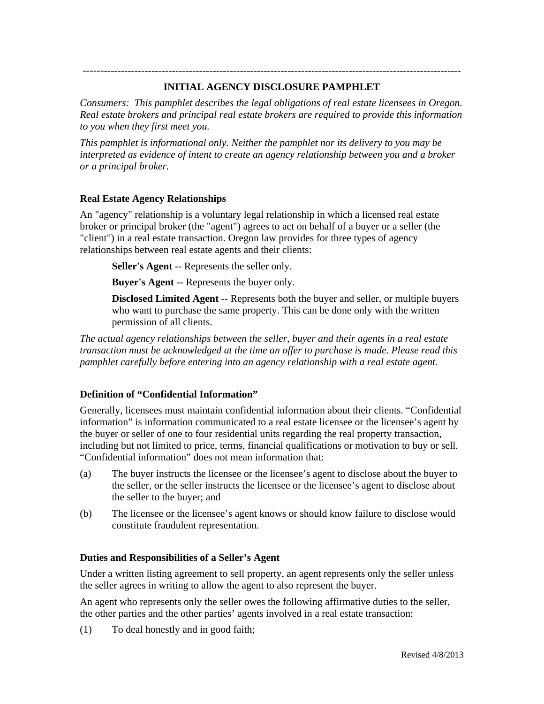# --------------------------------------------------------------------------------------------------------------- **INITIAL AGENCY DISCLOSURE PAMPHLET**

*Consumers: This pamphlet describes the legal obligations of real estate licensees in Oregon. Real estate brokers and principal real estate brokers are required to provide this information to you when they first meet you.* 

*This pamphlet is informational only. Neither the pamphlet nor its delivery to you may be interpreted as evidence of intent to create an agency relationship between you and a broker or a principal broker.* 

## **Real Estate Agency Relationships**

An "agency" relationship is a voluntary legal relationship in which a licensed real estate broker or principal broker (the "agent") agrees to act on behalf of a buyer or a seller (the "client") in a real estate transaction. Oregon law provides for three types of agency relationships between real estate agents and their clients:

**Seller's Agent** -- Represents the seller only.

**Buyer's Agent** -- Represents the buyer only.

**Disclosed Limited Agent** -- Represents both the buyer and seller, or multiple buyers who want to purchase the same property. This can be done only with the written permission of all clients.

*The actual agency relationships between the seller, buyer and their agents in a real estate transaction must be acknowledged at the time an offer to purchase is made. Please read this pamphlet carefully before entering into an agency relationship with a real estate agent.* 

## **Definition of "Confidential Information"**

Generally, licensees must maintain confidential information about their clients. "Confidential information" is information communicated to a real estate licensee or the licensee's agent by the buyer or seller of one to four residential units regarding the real property transaction, including but not limited to price, terms, financial qualifications or motivation to buy or sell. "Confidential information" does not mean information that:

- (a) The buyer instructs the licensee or the licensee's agent to disclose about the buyer to the seller, or the seller instructs the licensee or the licensee's agent to disclose about the seller to the buyer; and
- (b) The licensee or the licensee's agent knows or should know failure to disclose would constitute fraudulent representation.

### **Duties and Responsibilities of a Seller's Agent**

Under a written listing agreement to sell property, an agent represents only the seller unless the seller agrees in writing to allow the agent to also represent the buyer.

An agent who represents only the seller owes the following affirmative duties to the seller, the other parties and the other parties' agents involved in a real estate transaction:

(1) To deal honestly and in good faith;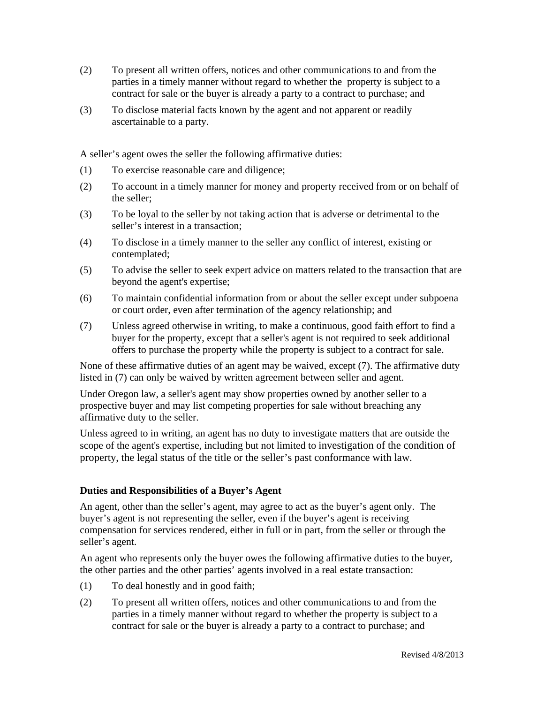- (2) To present all written offers, notices and other communications to and from the parties in a timely manner without regard to whether the property is subject to a contract for sale or the buyer is already a party to a contract to purchase; and
- (3) To disclose material facts known by the agent and not apparent or readily ascertainable to a party.

A seller's agent owes the seller the following affirmative duties:

- (1) To exercise reasonable care and diligence;
- (2) To account in a timely manner for money and property received from or on behalf of the seller;
- (3) To be loyal to the seller by not taking action that is adverse or detrimental to the seller's interest in a transaction;
- (4) To disclose in a timely manner to the seller any conflict of interest, existing or contemplated;
- (5) To advise the seller to seek expert advice on matters related to the transaction that are beyond the agent's expertise;
- (6) To maintain confidential information from or about the seller except under subpoena or court order, even after termination of the agency relationship; and
- (7) Unless agreed otherwise in writing, to make a continuous, good faith effort to find a buyer for the property, except that a seller's agent is not required to seek additional offers to purchase the property while the property is subject to a contract for sale.

None of these affirmative duties of an agent may be waived, except (7). The affirmative duty listed in (7) can only be waived by written agreement between seller and agent.

Under Oregon law, a seller's agent may show properties owned by another seller to a prospective buyer and may list competing properties for sale without breaching any affirmative duty to the seller.

Unless agreed to in writing, an agent has no duty to investigate matters that are outside the scope of the agent's expertise, including but not limited to investigation of the condition of property, the legal status of the title or the seller's past conformance with law.

### **Duties and Responsibilities of a Buyer's Agent**

An agent, other than the seller's agent, may agree to act as the buyer's agent only. The buyer's agent is not representing the seller, even if the buyer's agent is receiving compensation for services rendered, either in full or in part, from the seller or through the seller's agent.

An agent who represents only the buyer owes the following affirmative duties to the buyer, the other parties and the other parties' agents involved in a real estate transaction:

- (1) To deal honestly and in good faith;
- (2) To present all written offers, notices and other communications to and from the parties in a timely manner without regard to whether the property is subject to a contract for sale or the buyer is already a party to a contract to purchase; and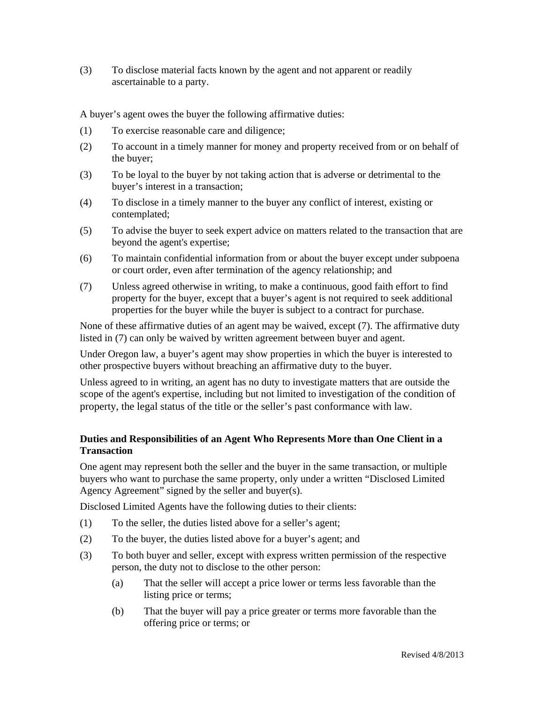(3) To disclose material facts known by the agent and not apparent or readily ascertainable to a party.

A buyer's agent owes the buyer the following affirmative duties:

- (1) To exercise reasonable care and diligence;
- (2) To account in a timely manner for money and property received from or on behalf of the buyer;
- (3) To be loyal to the buyer by not taking action that is adverse or detrimental to the buyer's interest in a transaction;
- (4) To disclose in a timely manner to the buyer any conflict of interest, existing or contemplated;
- (5) To advise the buyer to seek expert advice on matters related to the transaction that are beyond the agent's expertise;
- (6) To maintain confidential information from or about the buyer except under subpoena or court order, even after termination of the agency relationship; and
- (7) Unless agreed otherwise in writing, to make a continuous, good faith effort to find property for the buyer, except that a buyer's agent is not required to seek additional properties for the buyer while the buyer is subject to a contract for purchase.

None of these affirmative duties of an agent may be waived, except (7). The affirmative duty listed in (7) can only be waived by written agreement between buyer and agent.

Under Oregon law, a buyer's agent may show properties in which the buyer is interested to other prospective buyers without breaching an affirmative duty to the buyer.

Unless agreed to in writing, an agent has no duty to investigate matters that are outside the scope of the agent's expertise, including but not limited to investigation of the condition of property, the legal status of the title or the seller's past conformance with law.

### **Duties and Responsibilities of an Agent Who Represents More than One Client in a Transaction**

One agent may represent both the seller and the buyer in the same transaction, or multiple buyers who want to purchase the same property, only under a written "Disclosed Limited Agency Agreement" signed by the seller and buyer(s).

Disclosed Limited Agents have the following duties to their clients:

- (1) To the seller, the duties listed above for a seller's agent;
- (2) To the buyer, the duties listed above for a buyer's agent; and
- (3) To both buyer and seller, except with express written permission of the respective person, the duty not to disclose to the other person:
	- (a) That the seller will accept a price lower or terms less favorable than the listing price or terms;
	- (b) That the buyer will pay a price greater or terms more favorable than the offering price or terms; or